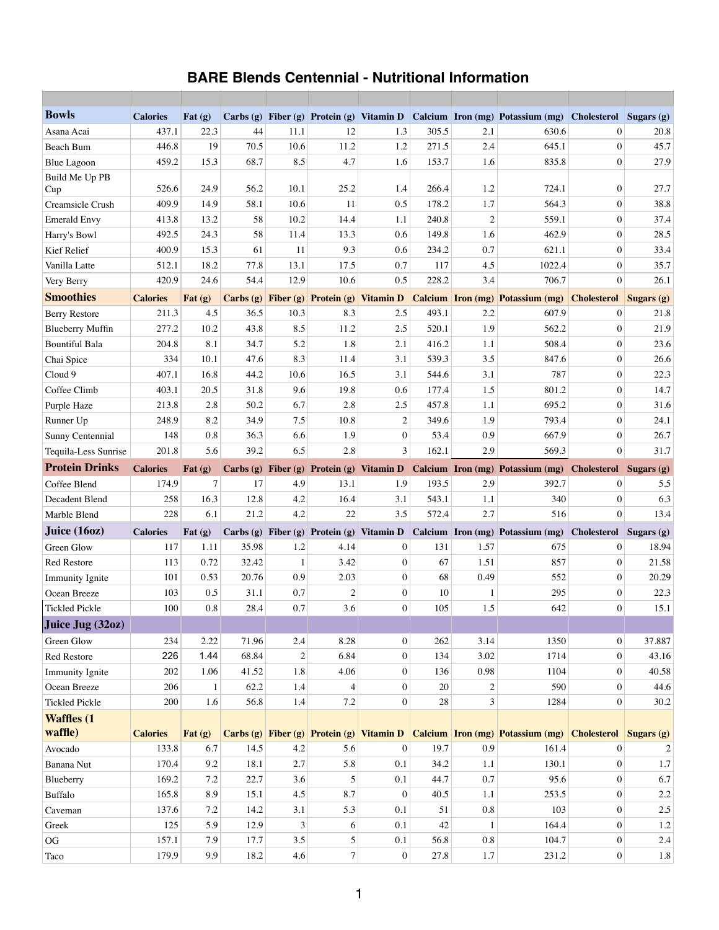## **BARE Blends Centennial - Nutritional Information**

| <b>Bowls</b>            | <b>Calories</b> | Fat $(g)$                                        |       |                |                |                  |       |                | Carbs (g) Fiber (g) Protein (g) Vitamin D Calcium Iron (mg) Potassium (mg)                        | <b>Cholesterol</b>            | Sugars (g)     |
|-------------------------|-----------------|--------------------------------------------------|-------|----------------|----------------|------------------|-------|----------------|---------------------------------------------------------------------------------------------------|-------------------------------|----------------|
| Asana Acai              | 437.1           | 22.3                                             | 44    | 11.1           | 12             | 1.3              | 305.5 | 2.1            | 630.6                                                                                             | $\overline{0}$                | 20.8           |
| <b>Beach Bum</b>        | 446.8           | 19                                               | 70.5  | 10.6           | 11.2           | 1.2              | 271.5 | 2.4            | 645.1                                                                                             | $\overline{0}$                | 45.7           |
| <b>Blue Lagoon</b>      | 459.2           | 15.3                                             | 68.7  | 8.5            | 4.7            | 1.6              | 153.7 | 1.6            | 835.8                                                                                             | $\overline{0}$                | 27.9           |
| Build Me Up PB<br>Cup   | 526.6           | 24.9                                             | 56.2  | 10.1           | 25.2           | 1.4              | 266.4 | 1.2            | 724.1                                                                                             | $\mathbf{0}$                  | 27.7           |
| Creamsicle Crush        | 409.9           | 14.9                                             | 58.1  | 10.6           | 11             | 0.5              | 178.2 | 1.7            | 564.3                                                                                             | $\overline{0}$                | 38.8           |
| <b>Emerald Envy</b>     | 413.8           | 13.2                                             | 58    | 10.2           | 14.4           | 1.1              | 240.8 | $\overline{2}$ | 559.1                                                                                             | $\overline{0}$                | 37.4           |
| Harry's Bowl            | 492.5           | 24.3                                             | 58    | 11.4           | 13.3           | 0.6              | 149.8 | 1.6            | 462.9                                                                                             | $\mathbf{0}$                  | 28.5           |
| Kief Relief             | 400.9           | 15.3                                             | 61    | 11             | 9.3            | 0.6              | 234.2 | 0.7            | 621.1                                                                                             | $\overline{0}$                | 33.4           |
| Vanilla Latte           | 512.1           | 18.2                                             | 77.8  | 13.1           | 17.5           | 0.7              | 117   | 4.5            | 1022.4                                                                                            | $\overline{0}$                | 35.7           |
| Very Berry              | 420.9           | 24.6                                             | 54.4  | 12.9           | 10.6           | 0.5              | 228.2 | 3.4            | 706.7                                                                                             | $\overline{0}$                | 26.1           |
| <b>Smoothies</b>        | <b>Calories</b> | Fat $(g)$                                        |       |                |                |                  |       |                | Carbs (g) Fiber (g) Protein (g) Vitamin D Calcium Iron (mg) Potassium (mg)                        | <b>Cholesterol</b> Sugars (g) |                |
| <b>Berry Restore</b>    | 211.3           | 4.5                                              | 36.5  | 10.3           | 8.3            | 2.5              | 493.1 | 2.2            | 607.9                                                                                             | $\overline{0}$                | 21.8           |
| <b>Blueberry Muffin</b> | 277.2           | 10.2                                             | 43.8  | 8.5            | 11.2           | 2.5              | 520.1 | 1.9            | 562.2                                                                                             | $\overline{0}$                | 21.9           |
| <b>Bountiful Bala</b>   | 204.8           | 8.1                                              | 34.7  | 5.2            | 1.8            | 2.1              | 416.2 | 1.1            | 508.4                                                                                             | $\overline{0}$                | 23.6           |
| Chai Spice              | 334             | 10.1                                             | 47.6  | 8.3            | 11.4           | 3.1              | 539.3 | 3.5            | 847.6                                                                                             | $\overline{0}$                | 26.6           |
| Cloud 9                 | 407.1           | 16.8                                             | 44.2  | 10.6           | 16.5           | 3.1              | 544.6 | 3.1            | 787                                                                                               | $\mathbf{0}$                  | 22.3           |
| Coffee Climb            | 403.1           | 20.5                                             | 31.8  | 9.6            | 19.8           | 0.6              | 177.4 | 1.5            | 801.2                                                                                             | $\overline{0}$                | 14.7           |
| Purple Haze             | 213.8           | 2.8                                              | 50.2  | 6.7            | 2.8            | 2.5              | 457.8 | 1.1            | 695.2                                                                                             | $\mathbf{0}$                  | 31.6           |
| Runner Up               | 248.9           | 8.2                                              | 34.9  | 7.5            | 10.8           | $\overline{2}$   | 349.6 | 1.9            | 793.4                                                                                             | $\overline{0}$                | 24.1           |
| Sunny Centennial        | 148             | 0.8                                              | 36.3  | 6.6            | 1.9            | $\overline{0}$   | 53.4  | 0.9            | 667.9                                                                                             | $\overline{0}$                | 26.7           |
| Tequila-Less Sunrise    | 201.8           | 5.6                                              | 39.2  | 6.5            | 2.8            | $\overline{3}$   | 162.1 | 2.9            | 569.3                                                                                             | $\overline{0}$                | 31.7           |
| <b>Protein Drinks</b>   | <b>Calories</b> | Fat $(g)$                                        |       |                |                |                  |       |                | Carbs (g) Fiber (g) Protein (g) Vitamin D Calcium Iron (mg) Potassium (mg) Cholesterol Sugars (g) |                               |                |
| Coffee Blend            | 174.9           | 7                                                | 17    | 4.9            | 13.1           | 1.9              | 193.5 | 2.9            | 392.7                                                                                             | $\overline{0}$                | 5.5            |
| Decadent Blend          | 258             | 16.3                                             | 12.8  | 4.2            | 16.4           | 3.1              | 543.1 | 1.1            | 340                                                                                               | $\overline{0}$                | 6.3            |
| Marble Blend            | 228             | 6.1                                              | 21.2  | 4.2            | 22             | 3.5              | 572.4 | 2.7            | 516                                                                                               | $\overline{0}$                | 13.4           |
| Juice (16oz)            | <b>Calories</b> | Fat $(g)$                                        |       |                |                |                  |       |                | Carbs (g) Fiber (g) Protein (g) Vitamin D Calcium Iron (mg) Potassium (mg) Cholesterol Sugars (g) |                               |                |
| Green Glow              | 117             | 1.11                                             | 35.98 | 1.2            | 4.14           | $\overline{0}$   | 131   | 1.57           | 675                                                                                               | $\overline{0}$                | 18.94          |
| <b>Red Restore</b>      | 113             | 0.72                                             | 32.42 |                | 3.42           | $\overline{0}$   | 67    | 1.51           | 857                                                                                               | $\mathbf{0}$                  | 21.58          |
| <b>Immunity Ignite</b>  | 101             | 0.53                                             | 20.76 | 0.9            | 2.03           | $\overline{0}$   | 68    | 0.49           | 552                                                                                               | $\overline{0}$                | 20.29          |
| Ocean Breeze            | 103             | 0.5                                              | 31.1  | 0.7            | 2              | $\overline{0}$   | 10    |                | 295                                                                                               | $\overline{0}$                | 22.3           |
| <b>Tickled Pickle</b>   | 100             | 0.8                                              | 28.4  | 0.7            | 3.6            | $\overline{0}$   | 105   | 1.5            | 642                                                                                               | $\mathbf{0}$                  | 15.1           |
| Juice Jug (32oz)        |                 |                                                  |       |                |                |                  |       |                |                                                                                                   |                               |                |
| Green Glow              | 234             | 2.22                                             | 71.96 | 2.4            | 8.28           | $\overline{0}$   | 262   | 3.14           | 1350                                                                                              | $\overline{0}$                | 37.887         |
| <b>Red Restore</b>      | 226             | 1.44                                             | 68.84 | $\overline{2}$ | 6.84           | $\overline{0}$   | 134   | 3.02           | 1714                                                                                              | $\overline{0}$                | 43.16          |
| <b>Immunity Ignite</b>  | 202             | 1.06                                             | 41.52 | 1.8            | 4.06           | $\overline{0}$   | 136   | 0.98           | 1104                                                                                              | $\overline{0}$                | 40.58          |
| Ocean Breeze            | 206             | 1                                                | 62.2  | 1.4            | 4              | $\Omega$         | 20    | $\overline{2}$ | 590                                                                                               | $\overline{0}$                | 44.6           |
| <b>Tickled Pickle</b>   | 200             | 1.6                                              | 56.8  | 1.4            | 7.2            | $\overline{0}$   | 28    | $\overline{3}$ | 1284                                                                                              | $\overline{0}$                | 30.2           |
| <b>Waffles</b> (1       |                 |                                                  |       |                |                |                  |       |                |                                                                                                   |                               |                |
| waffle)                 | <b>Calories</b> | $\left  \text{Fat}\left(\text{g}\right) \right $ |       |                |                |                  |       |                | Carbs (g) Fiber (g) Protein (g) Vitamin D Calcium Iron (mg) Potassium (mg) Cholesterol Sugars (g) |                               |                |
| Avocado                 | 133.8           | 6.7                                              | 14.5  | 4.2            | 5.6            | $\overline{0}$   | 19.7  | 0.9            | 161.4                                                                                             | $\overline{0}$                | $\overline{2}$ |
| Banana Nut              | 170.4           | 9.2                                              | 18.1  | 2.7            | 5.8            | 0.1              | 34.2  | 1.1            | 130.1                                                                                             | $\overline{0}$                | 1.7            |
| Blueberry               | 169.2           | 7.2                                              | 22.7  | 3.6            |                | 0.1              | 44.7  | 0.7            | 95.6                                                                                              | $\mathbf{0}$                  | 6.7            |
| <b>Buffalo</b>          | 165.8           | 8.9                                              | 15.1  | 4.5            | 8.7            | $\overline{0}$   | 40.5  | 1.1            | 253.5                                                                                             | $\boldsymbol{0}$              | $2.2\,$        |
| Caveman                 | 137.6           | 7.2                                              | 14.2  | 3.1            | 5.3            | 0.1              | 51    | 0.8            | 103                                                                                               | $\mathbf{0}$                  | 2.5            |
| Greek                   | 125             | 5.9                                              | 12.9  | $\mathfrak{Z}$ | 6              | 0.1              | 42    |                | 164.4                                                                                             | $\boldsymbol{0}$              | 1.2            |
| OG                      | 157.1           | 7.9                                              | 17.7  | 3.5            | 5              | 0.1              | 56.8  | 0.8            | 104.7                                                                                             | $\mathbf{0}$                  | 2.4            |
| Taco                    | 179.9           | 9.9                                              | 18.2  | 4.6            | $\overline{7}$ | $\boldsymbol{0}$ | 27.8  | 1.7            | 231.2                                                                                             | $\boldsymbol{0}$              | 1.8            |

1